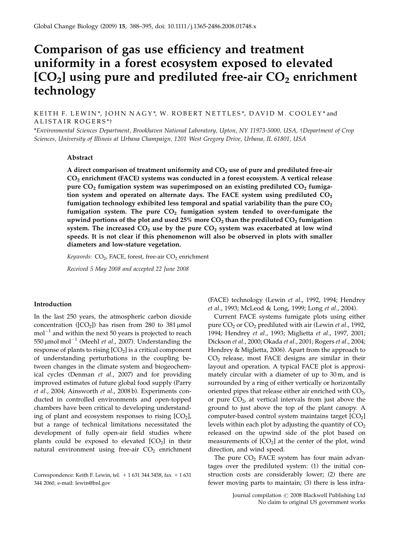# Comparison of gas use efficiency and treatment uniformity in a forest ecosystem exposed to elevated  $[CO<sub>2</sub>]$  using pure and prediluted free-air  $CO<sub>2</sub>$  enrichment technology

KEITH F. LEWIN\*, JOHN NAGY\*, W. ROBERT NETTLES\*, DAVID M. COOLEY\* and ALISTAIR ROGERS\*†

\*Environmental Sciences Department, Brookhaven National Laboratory, Upton, NY 11973-5000, USA, †Department of Crop Sciences, University of Illinois at Urbana Champaign, 1201 West Gregory Drive, Urbana, IL 61801, USA

## Abstract

A direct comparison of treatment uniformity and  $CO<sub>2</sub>$  use of pure and prediluted free-air CO2 enrichment (FACE) systems was conducted in a forest ecosystem. A vertical release pure  $CO<sub>2</sub>$  fumigation system was superimposed on an existing prediluted  $CO<sub>2</sub>$  fumigation system and operated on alternate days. The FACE system using prediluted  $CO<sub>2</sub>$ fumigation technology exhibited less temporal and spatial variability than the pure  $CO<sub>2</sub>$ fumigation system. The pure  $CO<sub>2</sub>$  fumigation system tended to over-fumigate the upwind portions of the plot and used 25% more  $CO<sub>2</sub>$  than the prediluted  $CO<sub>2</sub>$  fumigation system. The increased  $CO<sub>2</sub>$  use by the pure  $CO<sub>2</sub>$  system was exacerbated at low wind speeds. It is not clear if this phenomenon will also be observed in plots with smaller diameters and low-stature vegetation.

Keywords:  $CO<sub>2</sub>$ , FACE, forest, free-air  $CO<sub>2</sub>$  enrichment

Received 5 May 2008 and accepted 22 June 2008

## Introduction

In the last 250 years, the atmospheric carbon dioxide concentration ( $[CO_2]$ ) has risen from 280 to 381 µmol  $\mathrm{mol}^{-1}$  and within the next 50 years is projected to reach 550 μmol mol $^{-1}$  (Meehl *et al.,* 2007). Understanding the response of plants to rising  $[CO<sub>2</sub>]$  is a critical component of understanding perturbations in the coupling between changes in the climate system and biogeochemical cycles (Denman et al., 2007) and for providing improved estimates of future global food supply (Parry et al., 2004; Ainsworth et al., 2008 b). Experiments conducted in controlled environments and open-topped chambers have been critical to developing understanding of plant and ecosystem responses to rising  $[CO<sub>2</sub>]$ , but a range of technical limitations necessitated the development of fully open-air field studies where plants could be exposed to elevated  $[CO<sub>2</sub>]$  in their natural environment using free-air  $CO<sub>2</sub>$  enrichment

(FACE) technology (Lewin et al., 1992, 1994; Hendrey et al., 1993; McLeod & Long, 1999; Long et al., 2004).

Current FACE systems fumigate plots using either pure  $CO<sub>2</sub>$  or  $CO<sub>2</sub>$  prediluted with air (Lewin *et al.*, 1992, 1994; Hendrey et al., 1993; Miglietta et al., 1997, 2001; Dickson et al., 2000; Okada et al., 2001; Rogers et al., 2004; Hendrey & Miglietta, 2006). Apart from the approach to CO2 release, most FACE designs are similar in their layout and operation. A typical FACE plot is approximately circular with a diameter of up to 30 m, and is surrounded by a ring of either vertically or horizontally oriented pipes that release either air enriched with  $CO<sub>2</sub>$ , or pure  $CO<sub>2</sub>$ , at vertical intervals from just above the ground to just above the top of the plant canopy. A computer-based control system maintains target  $[CO<sub>2</sub>]$ levels within each plot by adjusting the quantity of  $CO<sub>2</sub>$ released on the upwind side of the plot based on measurements of  $[CO<sub>2</sub>]$  at the center of the plot, wind direction, and wind speed.

The pure  $CO<sub>2</sub>$  FACE system has four main advantages over the prediluted system: (1) the initial construction costs are considerably lower; (2) there are fewer moving parts to maintain; (3) there is less infra-

Correspondence: Keith F. Lewin, tel.  $+1$  631 344 3458, fax  $+1$  631 344 2060, e-mail: lewin@bnl.gov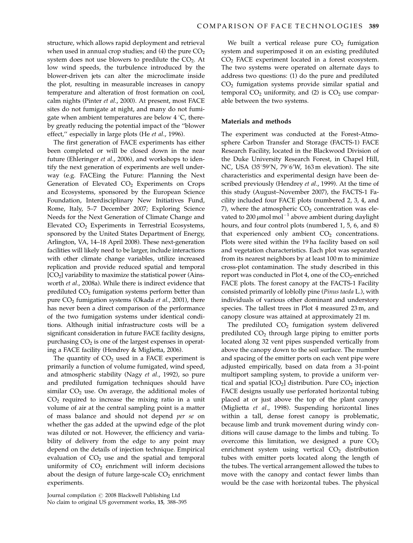structure, which allows rapid deployment and retrieval when used in annual crop studies; and (4) the pure  $CO<sub>2</sub>$ system does not use blowers to predilute the  $CO<sub>2</sub>$ . At low wind speeds, the turbulence introduced by the blower-driven jets can alter the microclimate inside the plot, resulting in measurable increases in canopy temperature and alteration of frost formation on cool, calm nights (Pinter et al., 2000). At present, most FACE sites do not fumigate at night, and many do not fumigate when ambient temperatures are below  $4^{\circ}C$ , thereby greatly reducing the potential impact of the ''blower effect,'' especially in large plots (He et al., 1996).

The first generation of FACE experiments has either been completed or will be closed down in the near future (Ehleringer et al., 2006), and workshops to identify the next generation of experiments are well underway (e.g. FACEing the Future: Planning the Next Generation of Elevated  $CO<sub>2</sub>$  Experiments on Crops and Ecosystems, sponsored by the European Science Foundation, Interdisciplinary New Initiatives Fund, Rome, Italy, 5–7 December 2007; Exploring Science Needs for the Next Generation of Climate Change and Elevated  $CO<sub>2</sub>$  Experiments in Terrestrial Ecosystems, sponsored by the United States Department of Energy, Arlington, VA, 14–18 April 2008). These next-generation facilities will likely need to be larger, include interactions with other climate change variables, utilize increased replication and provide reduced spatial and temporal  $[CO<sub>2</sub>]$  variability to maximize the statistical power (Ainsworth et al., 2008a). While there is indirect evidence that prediluted CO<sub>2</sub> fumigation systems perform better than pure  $CO<sub>2</sub>$  fumigation systems (Okada *et al.*, 2001), there has never been a direct comparison of the performance of the two fumigation systems under identical conditions. Although initial infrastructure costs will be a significant consideration in future FACE facility designs, purchasing  $CO<sub>2</sub>$  is one of the largest expenses in operating a FACE facility (Hendrey & Miglietta, 2006).

The quantity of  $CO<sub>2</sub>$  used in a FACE experiment is primarily a function of volume fumigated, wind speed, and atmospheric stability (Nagy et al., 1992), so pure and prediluted fumigation techniques should have similar  $CO<sub>2</sub>$  use. On average, the additional moles of  $CO<sub>2</sub>$  required to increase the mixing ratio in a unit volume of air at the central sampling point is a matter of mass balance and should not depend per se on whether the gas added at the upwind edge of the plot was diluted or not. However, the efficiency and variability of delivery from the edge to any point may depend on the details of injection technique. Empirical evaluation of  $CO<sub>2</sub>$  use and the spatial and temporal uniformity of  $CO<sub>2</sub>$  enrichment will inform decisions about the design of future large-scale  $CO<sub>2</sub>$  enrichment experiments.

We built a vertical release pure  $CO<sub>2</sub>$  fumigation system and superimposed it on an existing prediluted CO<sub>2</sub> FACE experiment located in a forest ecosystem. The two systems were operated on alternate days to address two questions: (1) do the pure and prediluted  $CO<sub>2</sub>$  fumigation systems provide similar spatial and temporal  $CO<sub>2</sub>$  uniformity, and (2) is  $CO<sub>2</sub>$  use comparable between the two systems.

## Materials and methods

The experiment was conducted at the Forest-Atmosphere Carbon Transfer and Storage (FACTS-1) FACE Research Facility, located in the Blackwood Division of the Duke University Research Forest, in Chapel Hill, NC, USA (35°59'N, 79°6'W, 163 m elevation). The site characteristics and experimental design have been described previously (Hendrey et al., 1999). At the time of this study (August–November 2007), the FACTS-1 Facility included four FACE plots (numbered 2, 3, 4, and 7), where the atmospheric  $CO<sub>2</sub>$  concentration was elevated to 200  $\mu$ mol mol<sup>-1</sup> above ambient during daylight hours, and four control plots (numbered 1, 5, 6, and 8) that experienced only ambient  $CO<sub>2</sub>$  concentrations. Plots were sited within the 19 ha facility based on soil and vegetation characteristics. Each plot was separated from its nearest neighbors by at least 100 m to minimize cross-plot contamination. The study described in this report was conducted in Plot 4, one of the  $CO_2$ -enriched FACE plots. The forest canopy at the FACTS-1 Facility consisted primarily of loblolly pine (Pinus taeda L.), with individuals of various other dominant and understory species. The tallest trees in Plot 4 measured 23 m, and canopy closure was attained at approximately 21 m.

The prediluted  $CO<sub>2</sub>$  fumigation system delivered prediluted  $CO<sub>2</sub>$  through large piping to emitter ports located along 32 vent pipes suspended vertically from above the canopy down to the soil surface. The number and spacing of the emitter ports on each vent pipe were adjusted empirically, based on data from a 31-point multiport sampling system, to provide a uniform vertical and spatial  $[CO_2]$  distribution. Pure  $CO_2$  injection FACE designs usually use perforated horizontal tubing placed at or just above the top of the plant canopy (Miglietta et al., 1998). Suspending horizontal lines within a tall, dense forest canopy is problematic, because limb and trunk movement during windy conditions will cause damage to the limbs and tubing. To overcome this limitation, we designed a pure  $CO<sub>2</sub>$ enrichment system using vertical  $CO<sub>2</sub>$  distribution tubes with emitter ports located along the length of the tubes. The vertical arrangement allowed the tubes to move with the canopy and contact fewer limbs than would be the case with horizontal tubes. The physical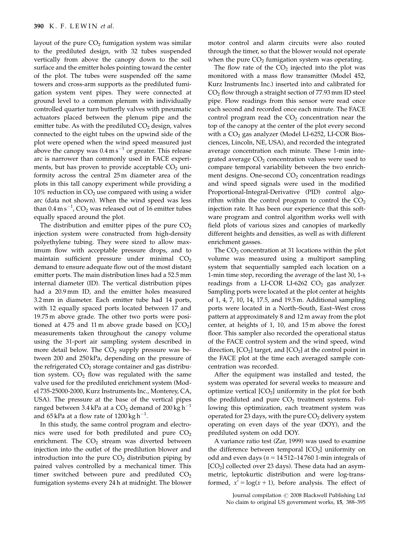layout of the pure  $CO<sub>2</sub>$  fumigation system was similar to the prediluted design, with 32 tubes suspended vertically from above the canopy down to the soil surface and the emitter holes pointing toward the center of the plot. The tubes were suspended off the same towers and cross-arm supports as the prediluted fumigation system vent pipes. They were connected at ground level to a common plenum with individually controlled quarter turn butterfly valves with pneumatic actuators placed between the plenum pipe and the emitter tube. As with the prediluted  $CO<sub>2</sub>$  design, valves connected to the eight tubes on the upwind side of the plot were opened when the wind speed measured just above the canopy was  $0.4\,\mathrm{m\,s}^{-1}$  or greater. This release arc is narrower than commonly used in FACE experiments, but has proven to provide acceptable  $CO<sub>2</sub>$  uniformity across the central 25 m diameter area of the plots in this tall canopy experiment while providing a 10% reduction in  $CO<sub>2</sub>$  use compared with using a wider arc (data not shown). When the wind speed was less than  $0.4\,\mathrm{m\,s}^{-1}$ ,  $\mathrm{CO}_2$  was released out of 16 emitter tubes equally spaced around the plot.

The distribution and emitter pipes of the pure  $CO<sub>2</sub>$ injection system were constructed from high-density polyethylene tubing. They were sized to allow maximum flow with acceptable pressure drops, and to maintain sufficient pressure under minimal  $CO<sub>2</sub>$ demand to ensure adequate flow out of the most distant emitter ports. The main distribution lines had a 52.5 mm internal diameter (ID). The vertical distribution pipes had a 20.9 mm ID, and the emitter holes measured 3.2 mm in diameter. Each emitter tube had 14 ports, with 12 equally spaced ports located between 17 and 19.75 m above grade. The other two ports were positioned at 4.75 and 11 m above grade based on  $[CO<sub>2</sub>]$ measurements taken throughout the canopy volume using the 31-port air sampling system described in more detail below. The  $CO<sub>2</sub>$  supply pressure was between 200 and 250 kPa, depending on the pressure of the refrigerated  $CO<sub>2</sub>$  storage container and gas distribution system.  $CO<sub>2</sub>$  flow was regulated with the same valve used for the prediluted enrichment system (Model 735-25000-2000, Kurz Instruments Inc., Monterey, CA, USA). The pressure at the base of the vertical pipes ranged between 3.4 kPa at a CO<sub>2</sub> demand of 200 kg h $^{\rm -1}$ and 65 kPa at a flow rate of 1200 kg h $^{-1}$ .

In this study, the same control program and electronics were used for both prediluted and pure  $CO<sub>2</sub>$ enrichment. The  $CO<sub>2</sub>$  stream was diverted between injection into the outlet of the predilution blower and introduction into the pure  $CO<sub>2</sub>$  distribution piping by paired valves controlled by a mechanical timer. This timer switched between pure and prediluted  $CO<sub>2</sub>$ fumigation systems every 24 h at midnight. The blower motor control and alarm circuits were also routed through the timer, so that the blower would not operate when the pure  $CO<sub>2</sub>$  fumigation system was operating.

The flow rate of the  $CO<sub>2</sub>$  injected into the plot was monitored with a mass flow transmitter (Model 452, Kurz Instruments Inc.) inserted into and calibrated for CO2 flow through a straight section of 77.93 mm ID steel pipe. Flow readings from this sensor were read once each second and recorded once each minute. The FACE control program read the  $CO<sub>2</sub>$  concentration near the top of the canopy at the center of the plot every second with a  $CO<sub>2</sub>$  gas analyzer (Model LI-6252, LI-COR Biosciences, Lincoln, NE, USA), and recorded the integrated average concentration each minute. These 1-min integrated average  $CO<sub>2</sub>$  concentration values were used to compare temporal variability between the two enrichment designs. One-second  $CO<sub>2</sub>$  concentration readings and wind speed signals were used in the modified Proportional-Integral-Derivative (PID) control algorithm within the control program to control the  $CO<sub>2</sub>$ injection rate. It has been our experience that this software program and control algorithm works well with field plots of various sizes and canopies of markedly different heights and densities, as well as with different enrichment gasses.

The  $CO<sub>2</sub>$  concentration at 31 locations within the plot volume was measured using a multiport sampling system that sequentially sampled each location on a 1-min time step, recording the average of the last 30, 1-s readings from a LI-COR LI-6262  $CO<sub>2</sub>$  gas analyzer. Sampling ports were located at the plot center at heights of 1, 4, 7, 10, 14, 17.5, and 19.5 m. Additional sampling ports were located in a North–South, East–West cross pattern at approximately 8 and 12 m away from the plot center, at heights of 1, 10, and 15 m above the forest floor. This sampler also recorded the operational status of the FACE control system and the wind speed, wind direction,  $[CO_2]$  target, and  $[CO_2]$  at the control point in the FACE plot at the time each averaged sample concentration was recorded.

After the equipment was installed and tested, the system was operated for several weeks to measure and optimize vertical  $[CO<sub>2</sub>]$  uniformity in the plot for both the prediluted and pure  $CO<sub>2</sub>$  treatment systems. Following this optimization, each treatment system was operated for 23 days, with the pure  $CO<sub>2</sub>$  delivery system operating on even days of the year (DOY), and the prediluted system on odd DOY.

A variance ratio test (Zar, 1999) was used to examine the difference between temporal  $[CO<sub>2</sub>]$  uniformity on odd and even days ( $n = 14512-14760$  1-min integrals of [CO2] collected over 23 days). These data had an asymmetric, leptokurtic distribution and were log-transformed,  $x' = \log(x + 1)$ , before analysis. The effect of

> Journal compilation  $\circled{c}$  2008 Blackwell Publishing Ltd No claim to original US government works, 15, 388–395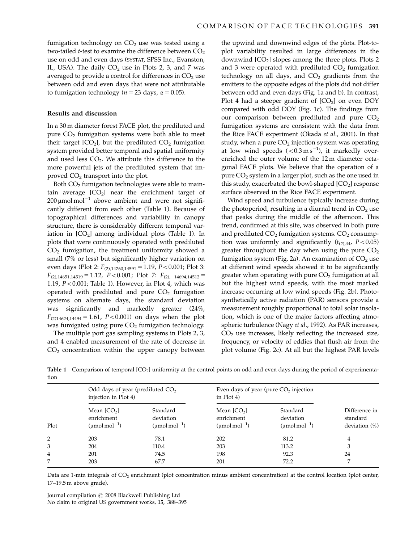fumigation technology on  $CO<sub>2</sub>$  use was tested using a two-tailed  $t$ -test to examine the difference between  $CO<sub>2</sub>$ use on odd and even days (SYSTAT, SPSS Inc., Evanston, IL, USA). The daily  $CO<sub>2</sub>$  use in Plots 2, 3, and 7 was averaged to provide a control for differences in  $CO<sub>2</sub>$  use between odd and even days that were not attributable to fumigation technology ( $n = 23$  days,  $\alpha = 0.05$ ).

#### Results and discussion

In a 30 m diameter forest FACE plot, the prediluted and pure  $CO<sub>2</sub>$  fumigation systems were both able to meet their target  $[CO_2]$ , but the prediluted  $CO_2$  fumigation system provided better temporal and spatial uniformity and used less  $CO<sub>2</sub>$ . We attribute this difference to the more powerful jets of the prediluted system that improved  $CO<sub>2</sub>$  transport into the plot.

Both  $CO<sub>2</sub>$  fumigation technologies were able to maintain average  $[CO<sub>2</sub>]$  near the enrichment target of  $200 \mu$ mol mol<sup>-1</sup> above ambient and were not significantly different from each other (Table 1). Because of topographical differences and variability in canopy structure, there is considerably different temporal variation in  $[CO<sub>2</sub>]$  among individual plots (Table 1). In plots that were continuously operated with prediluted  $CO<sub>2</sub>$  fumigation, the treatment uniformity showed a small (7% or less) but significantly higher variation on even days (Plot 2:  $F_{(2),14760,14591} = 1.19$ , P<0.001; Plot 3:  $F_{(2),14651,14519} = 1.12$ ,  $P < 0.001$ ; Plot 7:  $F_{(2), 14694,14512} =$ 1.19,  $P < 0.001$ ; Table 1). However, in Plot 4, which was operated with prediluted and pure  $CO<sub>2</sub>$  fumigation systems on alternate days, the standard deviation was significantly and markedly greater (24%,  $F_{(2)14624,14494} = 1.61$ ,  $P < 0.001$ ) on days when the plot was fumigated using pure  $CO<sub>2</sub>$  fumigation technology.

The multiple port gas sampling systems in Plots 2, 3, and 4 enabled measurement of the rate of decrease in  $CO<sub>2</sub>$  concentration within the upper canopy between

the upwind and downwind edges of the plots. Plot-toplot variability resulted in large differences in the downwind  $[CO<sub>2</sub>]$  slopes among the three plots. Plots 2 and 3 were operated with prediluted  $CO<sub>2</sub>$  fumigation technology on all days, and  $CO<sub>2</sub>$  gradients from the emitters to the opposite edges of the plots did not differ between odd and even days (Fig. 1a and b). In contrast, Plot 4 had a steeper gradient of  $[CO<sub>2</sub>]$  on even DOY compared with odd DOY (Fig. 1c). The findings from our comparison between prediluted and pure  $CO<sub>2</sub>$ fumigation systems are consistent with the data from the Rice FACE experiment (Okada et al., 2001). In that study, when a pure  $CO<sub>2</sub>$  injection system was operating at low wind speeds  $(< 0.3 \,\mathrm{m\,s}^{-1})$ , it markedly overenriched the outer volume of the 12 m diameter octagonal FACE plots. We believe that the operation of a pure  $CO<sub>2</sub>$  system in a larger plot, such as the one used in this study, exacerbated the bowl-shaped  $[CO<sub>2</sub>]$  response surface observed in the Rice FACE experiment.

Wind speed and turbulence typically increase during the photoperiod, resulting in a diurnal trend in  $CO<sub>2</sub>$  use that peaks during the middle of the afternoon. This trend, confirmed at this site, was observed in both pure and prediluted  $CO<sub>2</sub>$  fumigation systems.  $CO<sub>2</sub>$  consumption was uniformly and significantly  $(t_{(2),44}, P<0.05)$ greater throughout the day when using the pure  $CO<sub>2</sub>$ fumigation system (Fig. 2a). An examination of  $CO<sub>2</sub>$  use at different wind speeds showed it to be significantly greater when operating with pure  $CO<sub>2</sub>$  fumigation at all but the highest wind speeds, with the most marked increase occurring at low wind speeds (Fig. 2b). Photosynthetically active radiation (PAR) sensors provide a measurement roughly proportional to total solar insolation, which is one of the major factors affecting atmospheric turbulence (Nagy et al., 1992). As PAR increases,  $CO<sub>2</sub>$  use increases, likely reflecting the increased size, frequency, or velocity of eddies that flush air from the plot volume (Fig. 2c). At all but the highest PAR levels

Table 1 Comparison of temporal [CO<sub>2</sub>] uniformity at the control points on odd and even days during the period of experimentation

| Plot | Odd days of year (prediluted $CO2$<br>injection in Plot 4) |                                                   | Even days of year (pure $CO2$ injection<br>in $Plot(4)$ |                                                         |                                               |
|------|------------------------------------------------------------|---------------------------------------------------|---------------------------------------------------------|---------------------------------------------------------|-----------------------------------------------|
|      | Mean $[CO2]$<br>enrichment<br>$(\text{umol mol}^{-1})$     | Standard<br>deviation<br>$(\text{umol mol}^{-1})$ | Mean $[CO2]$<br>enrichment<br>$(\text{umol mol}^{-1})$  | Standard<br>deviation<br>$(\mu$ mol mol <sup>-1</sup> ) | Difference in<br>standard<br>deviation $(\%)$ |
| 2    | 203                                                        | 78.1                                              | 202                                                     | 81.2                                                    | 4                                             |
| 3    | 204                                                        | 110.4                                             | 203                                                     | 113.2                                                   | 3                                             |
| 4    | 201                                                        | 74.5                                              | 198                                                     | 92.3                                                    | 24                                            |
| 7    | 203                                                        | 67.7                                              | 201                                                     | 72.2                                                    | 7                                             |

Data are 1-min integrals of CO<sub>2</sub> enrichment (plot concentration minus ambient concentration) at the control location (plot center, 17–19.5 m above grade).

Journal compilation  $\odot$  2008 Blackwell Publishing Ltd No claim to original US government works, 15, 388–395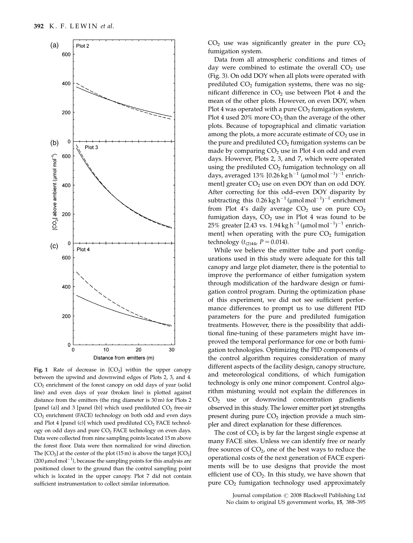

Fig. 1 Rate of decrease in  $[CO<sub>2</sub>]$  within the upper canopy between the upwind and downwind edges of Plots 2, 3, and 4. CO2 enrichment of the forest canopy on odd days of year (solid line) and even days of year (broken line) is plotted against distance from the emitters (the ring diameter is 30 m) for Plots 2 [panel (a)] and 3 [panel (b)] which used prediluted  $CO<sub>2</sub>$  free-air CO2 enrichment (FACE) technology on both odd and even days and Plot 4 [panel (c)] which used prediluted  $CO<sub>2</sub>$  FACE technology on odd days and pure  $CO<sub>2</sub>$  FACE technology on even days. Data were collected from nine sampling points located 15m above the forest floor. Data were then normalized for wind direction. The  $[CO<sub>2</sub>]$  at the center of the plot  $(15 \text{ m})$  is above the target  $[CO<sub>2</sub>]$ (200  $\mu$ mol mol<sup>-1</sup>), because the sampling points for this analysis are positioned closer to the ground than the control sampling point which is located in the upper canopy. Plot 7 did not contain sufficient instrumentation to collect similar information.

 $CO<sub>2</sub>$  use was significantly greater in the pure  $CO<sub>2</sub>$ fumigation system.

Data from all atmospheric conditions and times of day were combined to estimate the overall  $CO<sub>2</sub>$  use (Fig. 3). On odd DOY when all plots were operated with prediluted  $CO<sub>2</sub>$  fumigation systems, there was no significant difference in  $CO<sub>2</sub>$  use between Plot 4 and the mean of the other plots. However, on even DOY, when Plot 4 was operated with a pure  $CO<sub>2</sub>$  fumigation system, Plot 4 used 20% more  $CO<sub>2</sub>$  than the average of the other plots. Because of topographical and climatic variation among the plots, a more accurate estimate of  $CO<sub>2</sub>$  use in the pure and prediluted  $CO<sub>2</sub>$  fumigation systems can be made by comparing  $CO<sub>2</sub>$  use in Plot 4 on odd and even days. However, Plots 2, 3, and 7, which were operated using the prediluted  $CO<sub>2</sub>$  fumigation technology on all days, averaged  $13\%$  [0.26 kg h $^{-1}$  (µmol mol $^{-1})^{-1}$  enrichment] greater  $CO<sub>2</sub>$  use on even DOY than on odd DOY. After correcting for this odd–even DOY disparity by subtracting this  $0.26 \text{ kg h}^{-1}$  (µmol mol<sup>-1</sup>)<sup>-1</sup> enrichment from Plot 4's daily average  $CO<sub>2</sub>$  use on pure  $CO<sub>2</sub>$ fumigation days,  $CO<sub>2</sub>$  use in Plot 4 was found to be 25% greater [2.43 vs. 1.94 kg h $^{-1}$  (µmol mol $^{-1})^{-1}$  enrichment] when operating with the pure  $CO<sub>2</sub>$  fumigation technology ( $t_{(2)44}$ ,  $P = 0.014$ ).

While we believe the emitter tube and port configurations used in this study were adequate for this tall canopy and large plot diameter, there is the potential to improve the performance of either fumigation system through modification of the hardware design or fumigation control program. During the optimization phase of this experiment, we did not see sufficient performance differences to prompt us to use different PID parameters for the pure and prediluted fumigation treatments. However, there is the possibility that additional fine-tuning of these parameters might have improved the temporal performance for one or both fumigation technologies. Optimizing the PID components of the control algorithm requires consideration of many different aspects of the facility design, canopy structure, and meteorological conditions, of which fumigation technology is only one minor component. Control algorithm mistuning would not explain the differences in  $CO<sub>2</sub>$  use or downwind concentration gradients observed in this study. The lower emitter port jet strengths present during pure  $CO<sub>2</sub>$  injection provide a much simpler and direct explanation for these differences.

The cost of  $CO<sub>2</sub>$  is by far the largest single expense at many FACE sites. Unless we can identify free or nearly free sources of  $CO<sub>2</sub>$ , one of the best ways to reduce the operational costs of the next generation of FACE experiments will be to use designs that provide the most efficient use of  $CO<sub>2</sub>$ . In this study, we have shown that pure  $CO<sub>2</sub>$  fumigation technology used approximately

> Journal compilation  $\odot$  2008 Blackwell Publishing Ltd No claim to original US government works, 15, 388–395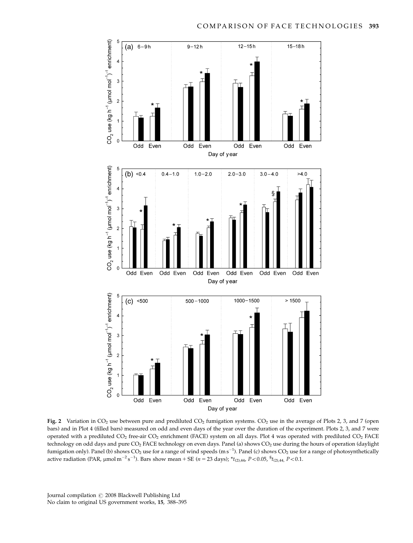



Fig. 2 Variation in  $CO_2$  use between pure and prediluted  $CO_2$  fumigation systems.  $CO_2$  use in the average of Plots 2, 3, and 7 (open bars) and in Plot 4 (filled bars) measured on odd and even days of the year over the duration of the experiment. Plots 2, 3, and 7 were operated with a prediluted  $CO_2$  free-air  $CO_2$  enrichment (FACE) system on all days. Plot 4 was operated with prediluted  $CO_2$  FACE technology on odd days and pure CO<sub>2</sub> FACE technology on even days. Panel (a) shows CO<sub>2</sub> use during the hours of operation (daylight fumigation only). Panel (b) shows  $CO_2$  use for a range of wind speeds (m s<sup>-1</sup>). Panel (c) shows  $CO_2$  use for a range of photosynthetically active radiation (PAR,  $\mu$ mol m<sup>-2</sup>s<sup>-1</sup>). Bars show mean + SE (*n* = 23 days); \* $t_{(2),44}$ , P<0.05, <sup>§</sup> $t_{(2),44}$ , P<0.1.

Journal compilation  $\odot$  2008 Blackwell Publishing Ltd No claim to original US government works, 15, 388–395

ŧ

 $\overline{a}$ 

é

 $\overline{a}$ 

 $\overline{1}$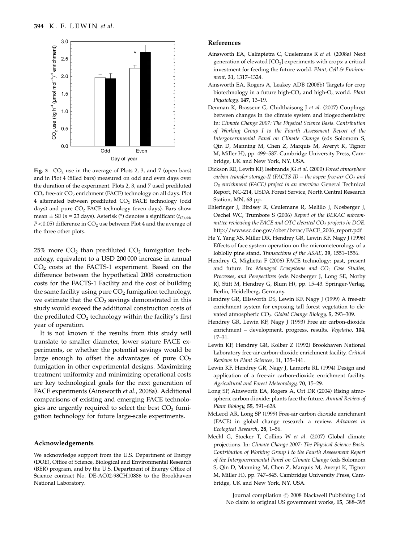

Fig. 3  $CO<sub>2</sub>$  use in the average of Plots 2, 3, and 7 (open bars) and in Plot 4 (filled bars) measured on odd and even days over the duration of the experiment. Plots 2, 3, and 7 used prediluted CO<sub>2</sub> free-air CO<sub>2</sub> enrichment (FACE) technology on all days. Plot 4 alternated between prediluted  $CO<sub>2</sub>$  FACE technology (odd days) and pure CO<sub>2</sub> FACE technology (even days). Bars show mean  $\pm$  SE (*n* = 23 days). Asterisk (\*) denotes a significant ( $t_{(2),44}$ ,  $P<0.05$ ) difference in CO<sub>2</sub> use between Plot 4 and the average of the three other plots.

 $25\%$  more  $CO<sub>2</sub>$  than prediluted  $CO<sub>2</sub>$  fumigation technology, equivalent to a USD 200 000 increase in annual  $CO<sub>2</sub> \text{ costs at the FACTS-1 experiment. Based on the}$ difference between the hypothetical 2008 construction costs for the FACTS-1 Facility and the cost of building the same facility using pure  $CO<sub>2</sub>$  fumigation technology, we estimate that the  $CO<sub>2</sub>$  savings demonstrated in this study would exceed the additional construction costs of the prediluted  $CO<sub>2</sub>$  technology within the facility's first year of operation.

It is not known if the results from this study will translate to smaller diameter, lower stature FACE experiments, or whether the potential savings would be large enough to offset the advantages of pure  $CO<sub>2</sub>$ fumigation in other experimental designs. Maximizing treatment uniformity and minimizing operational costs are key technological goals for the next generation of FACE experiments (Ainsworth et al., 2008a). Additional comparisons of existing and emerging FACE technologies are urgently required to select the best  $CO<sub>2</sub>$  fumigation technology for future large-scale experiments.

### Acknowledgements

We acknowledge support from the U.S. Department of Energy (DOE), Office of Science, Biological and Environmental Research (BER) program, and by the U.S. Department of Energy Office of Science contract No. DE-AC02-98CH10886 to the Brookhaven National Laboratory.

#### References

- Ainsworth EA, Calfapietra C, Cuelemans R et al. (2008a) Next generation of elevated  $[CO<sub>2</sub>]$  experiments with crops: a critical investment for feeding the future world. Plant, Cell & Environment, 31, 1317–1324.
- Ainsworth EA, Rogers A, Leakey ADB (2008b) Targets for crop biotechnology in a future high- $CO<sub>2</sub>$  and high- $O<sub>3</sub>$  world. Plant Physiology, 147, 13–19.
- Denman K, Brasseur G, Chidthaisong J et al. (2007) Couplings between changes in the climate system and biogeochemistry. In: Climate Change 2007: The Physical Science Basis. Contribution of Working Group I to the Fourth Assessment Report of the Intergovernmental Panel on Climate Change (eds Solomom S, Qin D, Manning M, Chen Z, Marquis M, Averyt K, Tignor M, Miller H), pp. 499–587. Cambridge University Press, Cambridge, UK and New York, NY, USA.
- Dickson RE, Lewin KF, Isebrands JG et al. (2000) Forest atmosphere carbon transfer storage-II (FACTS II) – the aspen free-air  $CO<sub>2</sub>$  and O3 enrichment (FACE) project in an overview. General Technical Report, NC-214, USDA Forest Service, North Central Research Station, MN, 68 pp.
- Ehleringer J, Birdsey R, Ceulemans R, Melillo J, Nosberger J, Oechel WC, Trumbore S (2006) Report of the BERAC subcommittee reviewing the FACE and OTC elevated  $CO<sub>2</sub>$  projects in DOE. http://www.sc.doe.gov/ober/berac/FACE\_2006\_report.pdf
- He Y, Yang XS, Miller DR, Hendrey GR, Lewin KF, Nagy J (1996) Effects of face system operation on the micrometeorology of a loblolly pine stand. Transactions of the ASAE, 39, 1551–1556.
- Hendrey G, Miglietta F (2006) FACE technology: past, present and future. In: Managed Ecosystems and  $CO<sub>2</sub>$  Case Studies, Processes, and Perspectives (eds Nosberger J, Long SE, Norby RJ, Stitt M, Hendrey G, Blum H), pp. 15–43. Springer-Verlag, Berlin, Heidelberg, Germany.
- Hendrey GR, Ellsworth DS, Lewin KF, Nagy J (1999) A free-air enrichment system for exposing tall forest vegetation to elevated atmospheric CO<sub>2</sub>. Global Change Biology, 5, 293-309.
- Hendrey GR, Lewin KF, Nagy J (1993) Free air carbon-dioxide enrichment – development, progress, results. Vegetatio, 104, 17–31.
- Lewin KF, Hendrey GR, Kolber Z (1992) Brookhaven National Laboratory free-air carbon-dioxide enrichment facility. Critical Reviews in Plant Sciences, 11, 135–141.
- Lewin KF, Hendrey GR, Nagy J, Lamorte RL (1994) Design and application of a free-air carbon-dioxide enrichment facility. Agricultural and Forest Meteorology, 70, 15–29.
- Long SP, Ainsworth EA, Rogers A, Ort DR (2004) Rising atmospheric carbon dioxide: plants face the future. Annual Review of Plant Biology, 55, 591–628.
- McLeod AR, Long SP (1999) Free-air carbon dioxide enrichment (FACE) in global change research: a review. Advances in Ecological Research, 28, 1–56.
- Meehl G, Stocker T, Collins W et al. (2007) Global climate projections. In: Climate Change 2007: The Physical Science Basis. Contribution of Working Group I to the Fourth Assessment Report of the Intergovernmental Panel on Climate Change (eds Solomom S, Qin D, Manning M, Chen Z, Marquis M, Averyt K, Tignor M, Miller H), pp. 747–845. Cambridge University Press, Cambridge, UK and New York, NY, USA.

Journal compilation  $\odot$  2008 Blackwell Publishing Ltd No claim to original US government works, 15, 388–395